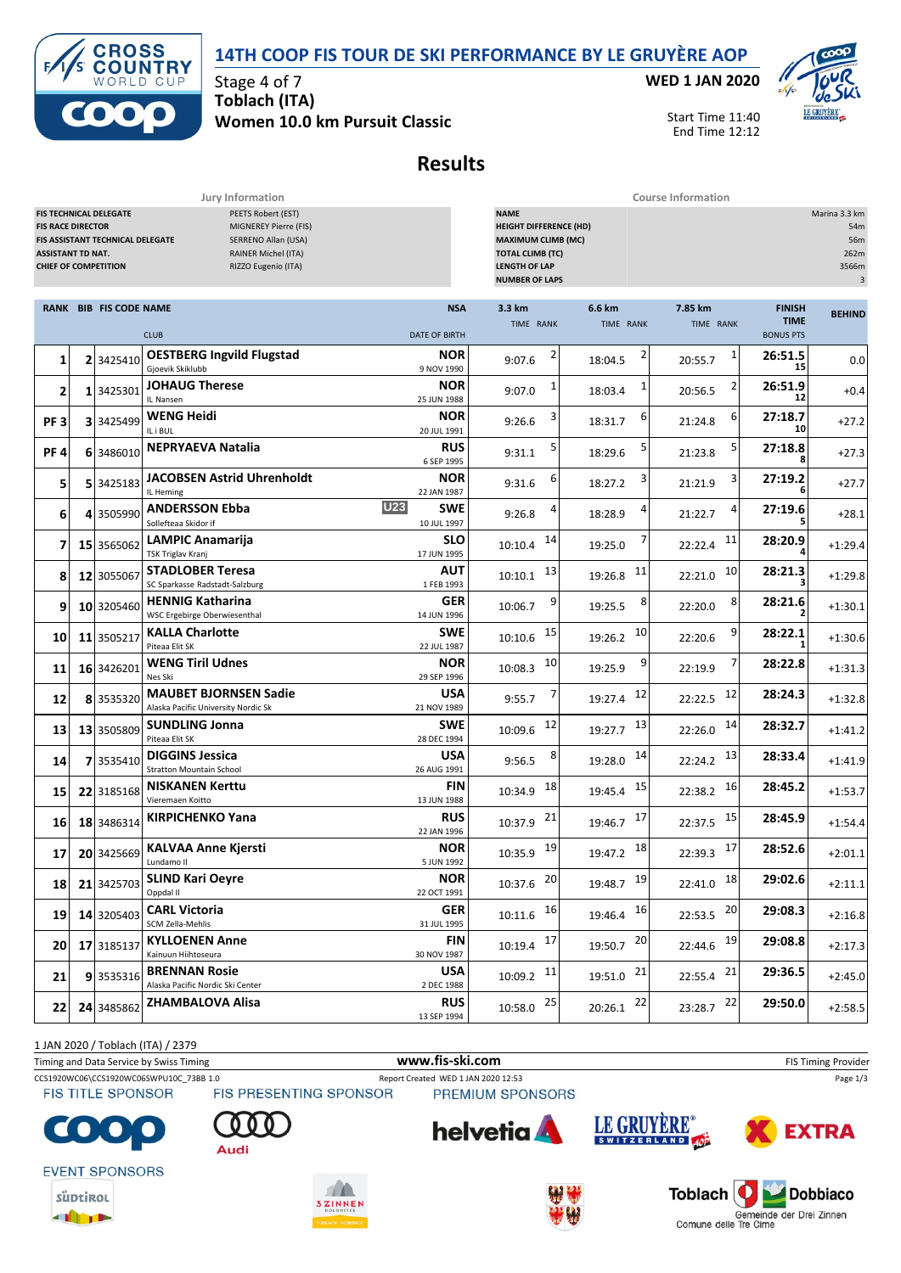



Stage 4 of 7 **Toblach (ITA) Women 10.0 km Pursuit Classic** **WED 1 JAN 2020**



Start Time 11:40 End Time 12:12

# **Results**

| <b>Course Information</b><br>Jury Information                                       |  |                                                                   |                                                                                                                  |                                                                                                                                                                                                                                    |                         |                         |                      |                                                  |               |
|-------------------------------------------------------------------------------------|--|-------------------------------------------------------------------|------------------------------------------------------------------------------------------------------------------|------------------------------------------------------------------------------------------------------------------------------------------------------------------------------------------------------------------------------------|-------------------------|-------------------------|----------------------|--------------------------------------------------|---------------|
| <b>FIS RACE DIRECTOR</b><br><b>ASSISTANT TD NAT.</b><br><b>CHIEF OF COMPETITION</b> |  | <b>FIS TECHNICAL DELEGATE</b><br>FIS ASSISTANT TECHNICAL DELEGATE | PEETS Robert (EST)<br>MIGNEREY Pierre (FIS)<br>SERRENO Allan (USA)<br>RAINER Michel (ITA)<br>RIZZO Eugenio (ITA) | <b>NAME</b><br>Marina 3.3 km<br><b>HEIGHT DIFFERENCE (HD)</b><br>54m<br><b>MAXIMUM CLIMB (MC)</b><br>56m<br><b>TOTAL CLIMB (TC)</b><br>262m<br><b>LENGTH OF LAP</b><br>3566m<br><b>NUMBER OF LAPS</b><br>$\ensuremath{\mathsf{3}}$ |                         |                         |                      |                                                  |               |
|                                                                                     |  | <b>RANK BIB FIS CODE NAME</b>                                     | <b>CLUB</b>                                                                                                      | <b>NSA</b><br><b>DATE OF BIRTH</b>                                                                                                                                                                                                 | 3.3 km<br>TIME RANK     | 6.6 km<br>TIME RANK     | 7.85 km<br>TIME RANK | <b>FINISH</b><br><b>TIME</b><br><b>BONUS PTS</b> | <b>BEHIND</b> |
| 1                                                                                   |  | 2 3425410                                                         | <b>OESTBERG Ingvild Flugstad</b><br>Gjoevik Skiklubb                                                             | <b>NOR</b><br>9 NOV 1990                                                                                                                                                                                                           | 2<br>9:07.6             | 18:04.5                 | 1<br>20:55.7         | 26:51.5<br>15                                    | 0.0           |
| 2                                                                                   |  | 1 3425301                                                         | <b>JOHAUG Therese</b><br>IL Nansen                                                                               | <b>NOR</b><br>25 JUN 1988                                                                                                                                                                                                          | 9:07.0                  | 18:03.4                 | 20:56.5              | 26:51.9<br>12                                    | $+0.4$        |
| PF <sub>3</sub>                                                                     |  | 3 3425499                                                         | <b>WENG Heidi</b><br>IL i BUL                                                                                    | NOR<br>20 JUL 1991                                                                                                                                                                                                                 | 3<br>9:26.6             | 6<br>18:31.7            | 6<br>21:24.8         | 27:18.7<br>10                                    | $+27.2$       |
| PF <sub>4</sub>                                                                     |  | 6 3486010                                                         | <b>NEPRYAEVA Natalia</b>                                                                                         | <b>RUS</b><br>6 SEP 1995                                                                                                                                                                                                           | 5<br>9:31.1             | 18:29.6                 | 5<br>21:23.8         | 27:18.8                                          | $+27.3$       |
| 5                                                                                   |  | 5 3425183                                                         | <b>JACOBSEN Astrid Uhrenholdt</b><br>IL Heming                                                                   | <b>NOR</b><br>22 JAN 1987                                                                                                                                                                                                          | 9:31.6                  | 18:27.2                 | 21:21.9              | 27:19.2                                          | $+27.7$       |
| 6                                                                                   |  | 4 3505990                                                         | U23<br><b>ANDERSSON Ebba</b><br>Sollefteaa Skidor if                                                             | SWE<br>10 JUL 1997                                                                                                                                                                                                                 | 9:26.8                  | 18:28.9                 | 4<br>21:22.7         | 27:19.6                                          | $+28.1$       |
| 7                                                                                   |  | 15 3565062                                                        | <b>LAMPIC Anamarija</b><br>TSK Triglav Kranj                                                                     | <b>SLO</b><br>17 JUN 1995                                                                                                                                                                                                          | 14<br>10:10.4           | 19:25.0                 | 11<br>22:22.4        | 28:20.9                                          | $+1:29.4$     |
| 8                                                                                   |  | 12 3055067                                                        | <b>STADLOBER Teresa</b><br>SC Sparkasse Radstadt-Salzburg                                                        | AUT<br>1 FEB 1993                                                                                                                                                                                                                  | 13<br>10:10.1           | 11<br>19:26.8           | 10<br>22:21.0        | 28:21.3                                          | $+1:29.8$     |
| 9                                                                                   |  | 10 3205460                                                        | <b>HENNIG Katharina</b><br>WSC Ergebirge Oberwiesenthal                                                          | GER<br>14 JUN 1996                                                                                                                                                                                                                 | 9<br>10:06.7            | 8<br>19:25.5            | 8<br>22:20.0         | 28:21.6                                          | $+1:30.1$     |
| 10                                                                                  |  | 11 3505217                                                        | <b>KALLA Charlotte</b><br>Piteaa Elit SK                                                                         | <b>SWE</b><br>22 JUL 1987                                                                                                                                                                                                          | 15<br>10:10.6           | 10<br>19:26.2           | 9<br>22:20.6         | 28:22.1                                          | $+1:30.6$     |
| 11                                                                                  |  | 16 3426201                                                        | <b>WENG Tiril Udnes</b><br>Nes Ski                                                                               | <b>NOR</b><br>29 SEP 1996                                                                                                                                                                                                          | 10<br>10:08.3           | 9<br>19:25.9            | 22:19.9              | 28:22.8                                          | $+1:31.3$     |
| 12                                                                                  |  | 8 3535320                                                         | <b>MAUBET BJORNSEN Sadie</b><br>Alaska Pacific University Nordic Sk                                              | <b>USA</b><br>21 NOV 1989                                                                                                                                                                                                          | 9:55.7                  | 12<br>19:27.4           | 12<br>22:22.5        | 28:24.3                                          | $+1:32.8$     |
| 13                                                                                  |  | 13 3505809                                                        | <b>SUNDLING Jonna</b><br>Piteaa Elit SK                                                                          | SWE<br>28 DEC 1994                                                                                                                                                                                                                 | 12<br>10:09.6           | 13<br>19:27.7           | 14<br>22:26.0        | 28:32.7                                          | $+1:41.2$     |
| 14                                                                                  |  | 7 3535410                                                         | <b>DIGGINS Jessica</b><br><b>Stratton Mountain School</b>                                                        | <b>USA</b><br>26 AUG 1991                                                                                                                                                                                                          | 8<br>9:56.5             | 14<br>19:28.0           | 13<br>22:24.2        | 28:33.4                                          | $+1:41.9$     |
| 15                                                                                  |  | 22 3185168                                                        | <b>NISKANEN Kerttu</b><br>Vieremaen Koitto                                                                       | <b>FIN</b><br>13 JUN 1988                                                                                                                                                                                                          | 18<br>10:34.9           | 15<br>19:45.4           | 16<br>22:38.2        | 28:45.2                                          | $+1:53.7$     |
| 16                                                                                  |  | 18 3486314                                                        | <b>KIRPICHENKO Yana</b>                                                                                          | <b>RUS</b><br>22 JAN 1996                                                                                                                                                                                                          | 21<br>10:37.9           | 17<br>19:46.7           | 15<br>22:37.5        | 28:45.9                                          | $+1:54.4$     |
| 17                                                                                  |  | 20 3425669                                                        | <b>KALVAA Anne Kjersti</b><br>Lundamo II                                                                         | NOR<br>5 JUN 1992                                                                                                                                                                                                                  | 10:35.9 19              | 18<br>19:47.2           | 17<br>22:39.3        | 28:52.6                                          | $+2:01.1$     |
| 18                                                                                  |  | 21 3425703                                                        | <b>SLIND Kari Oeyre</b><br>Oppdal II                                                                             | <b>NOR</b><br>22 OCT 1991                                                                                                                                                                                                          | 10:37.6 20              | 19:48.7 19              | 22:41.0 18           | 29:02.6                                          | $+2:11.1$     |
| 19                                                                                  |  | 14 3205403                                                        | <b>CARL Victoria</b><br>SCM Zella-Mehlis                                                                         | <b>GER</b><br>31 JUL 1995                                                                                                                                                                                                          | $10:11.6$ 16            | 19:46.4 16              | $22:53.5$ 20         | 29:08.3                                          | $+2:16.8$     |
| 20                                                                                  |  | 17 3185137                                                        | <b>KYLLOENEN Anne</b><br>Kainuun Hiihtoseura                                                                     | <b>FIN</b><br>30 NOV 1987                                                                                                                                                                                                          | $10:19.4$ 17            | 19:50.7 20              | 22:44.6 19           | 29:08.8                                          | $+2:17.3$     |
| 21                                                                                  |  | 93535316                                                          | <b>BRENNAN Rosie</b><br>Alaska Pacific Nordic Ski Center                                                         | <b>USA</b><br>2 DEC 1988                                                                                                                                                                                                           | $10:09.2$ <sup>11</sup> | $19:51.0$ <sup>21</sup> | $22:55.4$ 21         | 29:36.5                                          | $+2:45.0$     |
| 22                                                                                  |  | 24 3485862                                                        | ZHAMBALOVA Alisa                                                                                                 | <b>RUS</b><br>13 SEP 1994                                                                                                                                                                                                          | $10:58.0$ $25$          | $20:26.1$ $22$          | 23:28.7 22           | 29:50.0                                          | $+2:58.5$     |

1 JAN 2020 / Toblach (ITA) / 2379

Timing and Data Service by Swiss Timing **WWW.fis-Ski.com www.fis-ski.com** FIS Timing Provider

CCS1920WC06\CCS1920WC06SWPU10C\_73BB 1.0 Report Created WED 1 JAN 2020 12:53 Page 1/3<br>
FIS TITLE SPONSOR FIS PRESENTING SPONSOR PREMIUM SPONSORS

PREMIUM SPONSORS



Audi



**EVENT SPONSORS** 











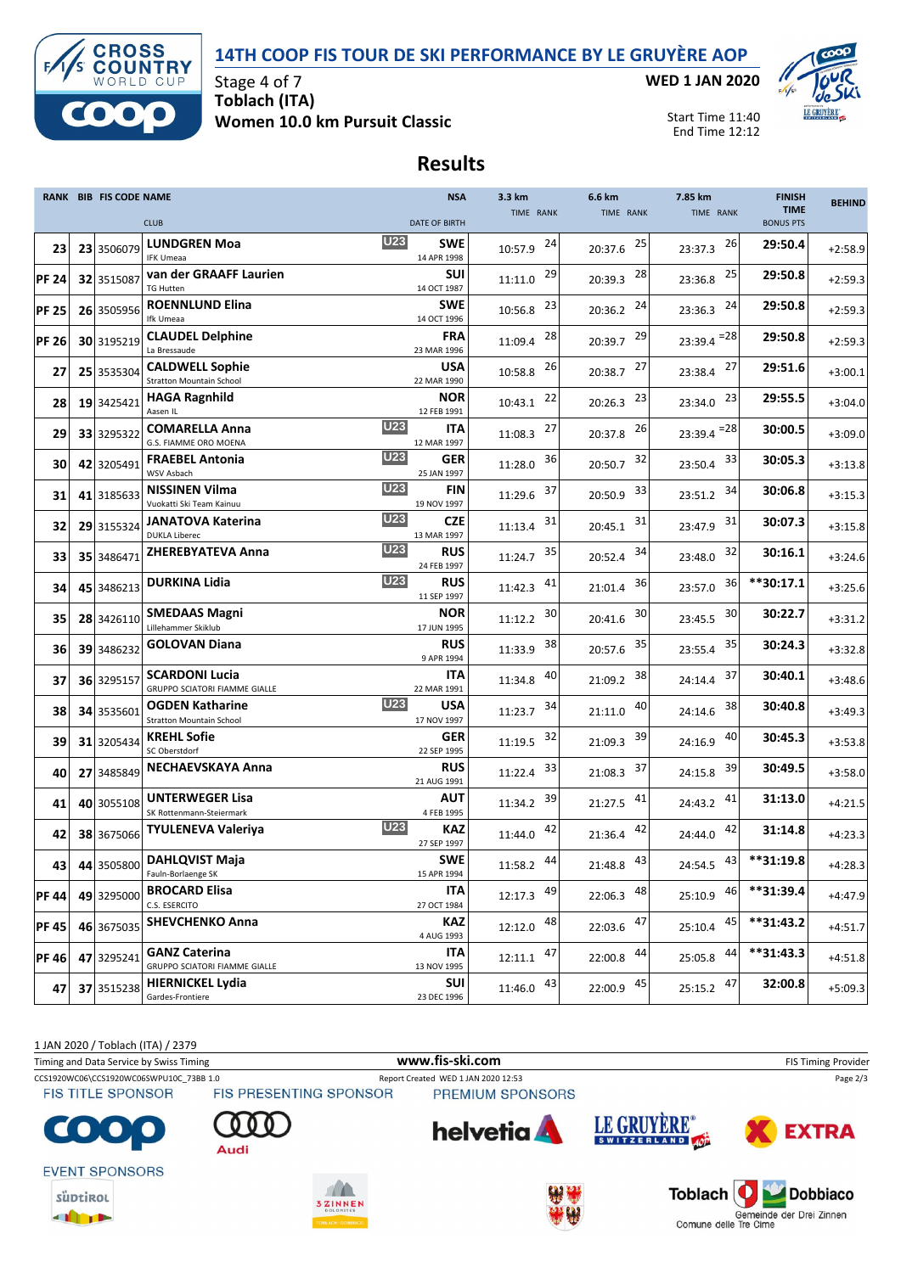### **14TH COOP FIS TOUR DE SKI PERFORMANCE BY LE GRUYÈRE AOP**



Stage 4 of 7 **Toblach (ITA) Women 10.0 km Pursuit Classic** **WED 1 JAN 2020**



Start Time 11:40 End Time 12:12

## **Results**

|              | <b>RANK BIB FIS CODE NAME</b> | <b>NSA</b>                                                                                    | 3.3 km         | 6.6 km        | 7.85 km        | <b>FINISH</b>                   | <b>BEHIND</b> |
|--------------|-------------------------------|-----------------------------------------------------------------------------------------------|----------------|---------------|----------------|---------------------------------|---------------|
|              |                               | <b>CLUB</b><br><b>DATE OF BIRTH</b>                                                           | TIME RANK      | TIME RANK     | TIME RANK      | <b>TIME</b><br><b>BONUS PTS</b> |               |
| 23           | 23 3506079                    | <b>U23</b><br><b>LUNDGREN Moa</b><br><b>SWE</b><br><b>IFK Umeaa</b><br>14 APR 1998            | 24<br>10:57.9  | 25<br>20:37.6 | 26<br>23:37.3  | 29:50.4                         | $+2:58.9$     |
| <b>PF 24</b> | 32 3515087                    | van der GRAAFF Laurien<br><b>SUI</b><br><b>TG Hutten</b><br>14 OCT 1987                       | 29<br>11:11.0  | 28<br>20:39.3 | 25<br>23:36.8  | 29:50.8                         | $+2:59.3$     |
| <b>PF 25</b> | 26 3505956                    | <b>ROENNLUND Elina</b><br><b>SWE</b><br>Ifk Umeaa<br>14 OCT 1996                              | 23<br>10:56.8  | 24<br>20:36.2 | 24<br>23:36.3  | 29:50.8                         | $+2:59.3$     |
| <b>PF 26</b> | 30 3195219                    | <b>CLAUDEL Delphine</b><br><b>FRA</b><br>La Bressaude<br>23 MAR 1996                          | 28<br>11:09.4  | 29<br>20:39.7 | $23:39.4 = 28$ | 29:50.8                         | $+2:59.3$     |
| 27           | 25 3535304                    | <b>CALDWELL Sophie</b><br><b>USA</b><br><b>Stratton Mountain School</b><br>22 MAR 1990        | 26<br>10:58.8  | 27<br>20:38.7 | 27<br>23:38.4  | 29:51.6                         | $+3:00.1$     |
| 28           | 19 3425421                    | <b>NOR</b><br><b>HAGA Ragnhild</b><br>Aasen IL<br>12 FEB 1991                                 | 22<br>10:43.1  | 23<br>20:26.3 | 23<br>23:34.0  | 29:55.5                         | $+3:04.0$     |
| 29           | 33 3295322                    | <b>U23</b><br>ITA<br><b>COMARELLA Anna</b><br>G.S. FIAMME ORO MOENA<br>12 MAR 1997            | 27<br>11:08.3  | 26<br>20:37.8 | $23:39.4 = 28$ | 30:00.5                         | $+3:09.0$     |
| 30           | 42 3205491                    | <b>U23</b><br><b>GER</b><br><b>FRAEBEL Antonia</b><br>WSV Asbach<br>25 JAN 1997               | 36<br>11:28.0  | 32<br>20:50.7 | 33<br>23:50.4  | 30:05.3                         | $+3:13.8$     |
| 31           | 41 3185633                    | <b>U23</b><br><b>NISSINEN Vilma</b><br>FIN<br>Vuokatti Ski Team Kainuu<br>19 NOV 1997         | 37<br>11:29.6  | 33<br>20:50.9 | 34<br>23:51.2  | 30:06.8                         | $+3:15.3$     |
| 32           | 29 3155324                    | <b>U23</b><br><b>CZE</b><br>JANATOVA Katerina<br><b>DUKLA Liberec</b><br>13 MAR 1997          | 31<br>11:13.4  | 31<br>20:45.1 | 31<br>23:47.9  | 30:07.3                         | $+3:15.8$     |
| 33           | 35 3486471                    | <b>U23</b><br><b>ZHEREBYATEVA Anna</b><br><b>RUS</b><br>24 FEB 1997                           | 35<br>11:24.7  | 34<br>20:52.4 | 32<br>23:48.0  | 30:16.1                         | $+3:24.6$     |
| 34           | 45 3486213                    | <b>U23</b><br>DURKINA Lidia<br><b>RUS</b><br>11 SEP 1997                                      | 41<br>11:42.3  | 36<br>21:01.4 | 36<br>23:57.0  | **30:17.1                       | $+3:25.6$     |
| 35           | 28 3426110                    | <b>NOR</b><br><b>SMEDAAS Magni</b><br>Lillehammer Skiklub<br>17 JUN 1995                      | 30<br>11:12.2  | 30<br>20:41.6 | 30<br>23:45.5  | 30:22.7                         | $+3:31.2$     |
| 36           | 39 3486232                    | <b>GOLOVAN Diana</b><br><b>RUS</b><br>9 APR 1994                                              | 38<br>11:33.9  | 35<br>20:57.6 | 35<br>23:55.4  | 30:24.3                         | $+3:32.8$     |
| 37           | 36 3295157                    | <b>SCARDONI Lucia</b><br><b>ITA</b><br><b>GRUPPO SCIATORI FIAMME GIALLE</b><br>22 MAR 1991    | 40<br>11:34.8  | 38<br>21:09.2 | 37<br>24:14.4  | 30:40.1                         | $+3:48.6$     |
| 38           | 34 3535601                    | U23<br><b>USA</b><br><b>OGDEN Katharine</b><br><b>Stratton Mountain School</b><br>17 NOV 1997 | 34<br>11:23.7  | 40<br>21:11.0 | 38<br>24:14.6  | 30:40.8                         | $+3:49.3$     |
| 39           | 31 3205434                    | <b>GER</b><br><b>KREHL Sofie</b><br>SC Oberstdorf<br>22 SEP 1995                              | 32<br>11:19.5  | 39<br>21:09.3 | 40<br>24:16.9  | 30:45.3                         | $+3:53.8$     |
| 40           | 27 3485849                    | <b>NECHAEVSKAYA Anna</b><br><b>RUS</b><br>21 AUG 1991                                         | 33<br>11:22.4  | 37<br>21:08.3 | 39<br>24:15.8  | 30:49.5                         | $+3:58.0$     |
| 41           | 40 3055108                    | <b>UNTERWEGER Lisa</b><br>AUT<br>SK Rottenmann-Steiermark<br>4 FEB 1995                       | 39<br>11:34.2  | 41<br>21:27.5 | 41<br>24:43.2  | 31:13.0                         | $+4:21.5$     |
| 42           | 38 3675066                    | <b>U23</b><br><b>KAZ</b><br><b>TYULENEVA Valeriya</b><br>27 SEP 1997                          | 42<br>11:44.0  | 42<br>21:36.4 | 42<br>24:44.0  | 31:14.8                         | $+4:23.3$     |
| 43           |                               | <b>SWE</b><br>44 3505800 DAHLQVIST Maja<br>15 APR 1994<br>Fauln-Borlaenge SK                  | 11:58.2 44     | 21:48.8 43    | 24:54.5 43     | **31:19.8                       | $+4:28.3$     |
| <b>PF 44</b> | 49 3295000                    | <b>BROCARD Elisa</b><br><b>ITA</b><br>C.S. ESERCITO<br>27 OCT 1984                            | 12:17.3 49     | 22:06.3 48    | 46<br>25:10.9  | **31:39.4                       | $+4:47.9$     |
| <b>PF 45</b> | 46 3675035                    | <b>SHEVCHENKO Anna</b><br><b>KAZ</b><br>4 AUG 1993                                            | 48<br>12:12.0  | 22:03.6 47    | 45<br>25:10.4  | $**31:43.2$                     | $+4:51.7$     |
| <b>PF46</b>  | 47 3295241                    | <b>GANZ Caterina</b><br>ITA<br><b>GRUPPO SCIATORI FIAMME GIALLE</b><br>13 NOV 1995            | $12:11.1$ 47   | $22:00.8$ 44  | 44<br>25:05.8  | **31:43.3                       | $+4:51.8$     |
| 47           | 37 3515238                    | <b>HIERNICKEL Lydia</b><br><b>SUI</b><br>Gardes-Frontiere<br>23 DEC 1996                      | $11:46.0$ $43$ | 22:00.9 45    | 25:15.2 47     | 32:00.8                         | $+5:09.3$     |

1 JAN 2020 / Toblach (ITA) / 2379

Timing and Data Service by Swiss Timing **WWW.fis-Ski.com www.fis-ski.com** FIS Timing Provider

CCS1920WC06\CCS1920WC06SWPU10C\_73BB 1.0 Report Created WED 1 JAN 2020 12:53 Page 2/3<br>FIS TITLE SPONSOR FIS PRESENTING SPONSOR PREMIUM SPONSORS

Audi

PREMIUM SPONSORS







**EVENT SPONSORS** 



 $\bullet$ 

**THEFT**